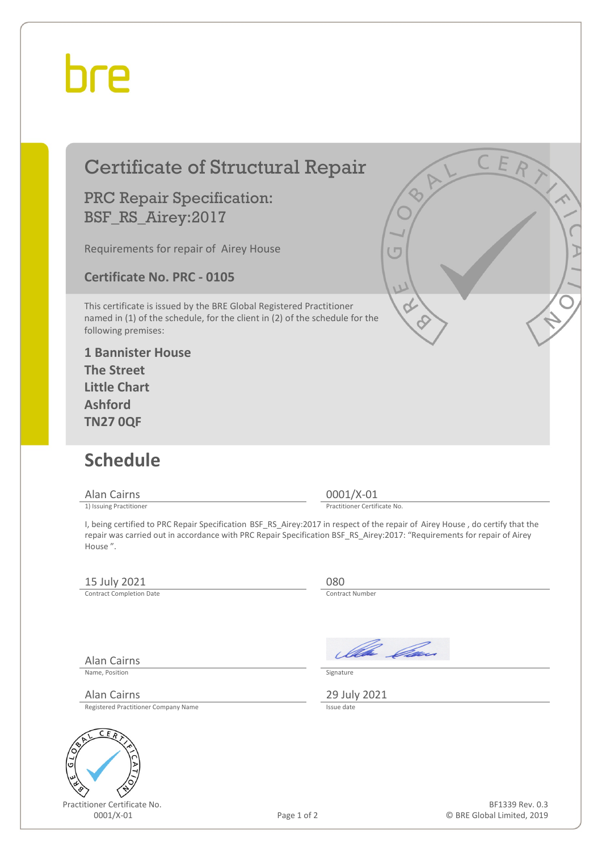## bre

| <b>Certificate of Structural Repair</b>                                                                                                                                                                                                                             | CER                                         |
|---------------------------------------------------------------------------------------------------------------------------------------------------------------------------------------------------------------------------------------------------------------------|---------------------------------------------|
| <b>PRC Repair Specification:</b><br>BSF_RS_Airey:2017                                                                                                                                                                                                               | $\overline{O}$                              |
| Requirements for repair of Airey House                                                                                                                                                                                                                              |                                             |
| <b>Certificate No. PRC - 0105</b>                                                                                                                                                                                                                                   |                                             |
| This certificate is issued by the BRE Global Registered Practitioner<br>named in (1) of the schedule, for the client in (2) of the schedule for the<br>following premises:                                                                                          |                                             |
| <b>1 Bannister House</b><br><b>The Street</b><br><b>Little Chart</b><br><b>Ashford</b><br><b>TN27 0QF</b>                                                                                                                                                           |                                             |
| <b>Schedule</b>                                                                                                                                                                                                                                                     |                                             |
| Alan Cairns<br>1) Issuing Practitioner                                                                                                                                                                                                                              | $0001/X-01$<br>Practitioner Certificate No. |
| I, being certified to PRC Repair Specification BSF_RS_Airey:2017 in respect of the repair of Airey House, do certify that the<br>repair was carried out in accordance with PRC Repair Specification BSF_RS_Airey:2017: "Requirements for repair of Airey<br>House". |                                             |
| 15 July 2021<br><b>Contract Completion Date</b>                                                                                                                                                                                                                     | 080<br><b>Contract Number</b>               |
| <b>Alan Cairns</b>                                                                                                                                                                                                                                                  | Illa Can                                    |

Name, Position Signature

Alan Cairns 29 July 2021<br>Registered Practitioner Company Name 29 July 2021



Registered Practitioner Company Name

Practitioner Certificate No.